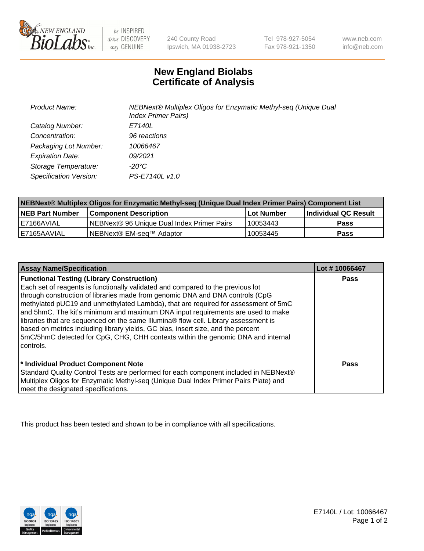

be INSPIRED drive DISCOVERY stay GENUINE

240 County Road Ipswich, MA 01938-2723 Tel 978-927-5054 Fax 978-921-1350 www.neb.com info@neb.com

## **New England Biolabs Certificate of Analysis**

| <b>Product Name:</b>    | NEBNext® Multiplex Oligos for Enzymatic Methyl-seq (Unique Dual<br><b>Index Primer Pairs)</b> |
|-------------------------|-----------------------------------------------------------------------------------------------|
| Catalog Number:         | E7140L                                                                                        |
| Concentration:          | 96 reactions                                                                                  |
| Packaging Lot Number:   | 10066467                                                                                      |
| <b>Expiration Date:</b> | 09/2021                                                                                       |
| Storage Temperature:    | -20°C                                                                                         |
| Specification Version:  | PS-E7140L v1.0                                                                                |

| NEBNext® Multiplex Oligos for Enzymatic Methyl-seq (Unique Dual Index Primer Pairs) Component List |                                                   |            |                      |  |
|----------------------------------------------------------------------------------------------------|---------------------------------------------------|------------|----------------------|--|
| <b>NEB Part Number</b>                                                                             | <b>Component Description</b>                      | Lot Number | Individual QC Result |  |
| I E7166AVIAL                                                                                       | <b>NEBNext® 96 Unique Dual Index Primer Pairs</b> | 10053443   | <b>Pass</b>          |  |
| I E7165AAVIAL                                                                                      | NEBNext® EM-seq™ Adaptor                          | 10053445   | <b>Pass</b>          |  |

| <b>Assay Name/Specification</b>                                                                                                                                                                                                                                                                                                                                                                                                                     | Lot #10066467 |
|-----------------------------------------------------------------------------------------------------------------------------------------------------------------------------------------------------------------------------------------------------------------------------------------------------------------------------------------------------------------------------------------------------------------------------------------------------|---------------|
| <b>Functional Testing (Library Construction)</b><br>Each set of reagents is functionally validated and compared to the previous lot<br>through construction of libraries made from genomic DNA and DNA controls (CpG                                                                                                                                                                                                                                | Pass          |
| methylated pUC19 and unmethylated Lambda), that are required for assessment of 5mC<br>and 5hmC. The kit's minimum and maximum DNA input requirements are used to make<br>libraries that are sequenced on the same Illumina® flow cell. Library assessment is<br>based on metrics including library yields, GC bias, insert size, and the percent<br>5mC/5hmC detected for CpG, CHG, CHH contexts within the genomic DNA and internal<br>l controls. |               |
| * Individual Product Component Note<br>Standard Quality Control Tests are performed for each component included in NEBNext®<br>Multiplex Oligos for Enzymatic Methyl-seq (Unique Dual Index Primer Pairs Plate) and<br>meet the designated specifications.                                                                                                                                                                                          | Pass          |

This product has been tested and shown to be in compliance with all specifications.